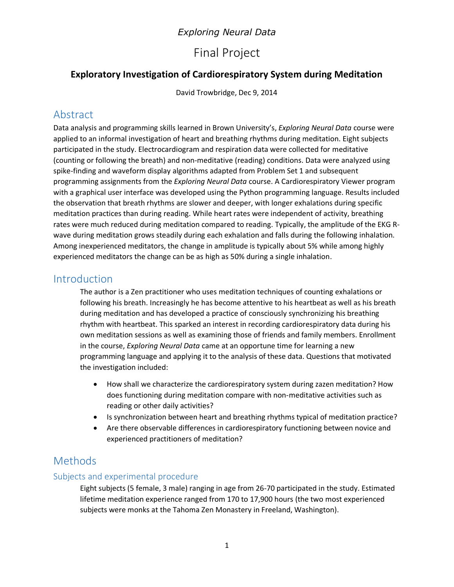## *Exploring Neural Data*

# Final Project

## **Exploratory Investigation of Cardiorespiratory System during Meditation**

David Trowbridge, Dec 9, 2014

# Abstract

Data analysis and programming skills learned in Brown University's, *Exploring Neural Data* course were applied to an informal investigation of heart and breathing rhythms during meditation. Eight subjects participated in the study. Electrocardiogram and respiration data were collected for meditative (counting or following the breath) and non-meditative (reading) conditions. Data were analyzed using spike-finding and waveform display algorithms adapted from Problem Set 1 and subsequent programming assignments from the *Exploring Neural Data* course. A Cardiorespiratory Viewer program with a graphical user interface was developed using the Python programming language. Results included the observation that breath rhythms are slower and deeper, with longer exhalations during specific meditation practices than during reading. While heart rates were independent of activity, breathing rates were much reduced during meditation compared to reading. Typically, the amplitude of the EKG Rwave during meditation grows steadily during each exhalation and falls during the following inhalation. Among inexperienced meditators, the change in amplitude is typically about 5% while among highly experienced meditators the change can be as high as 50% during a single inhalation.

## Introduction

The author is a Zen practitioner who uses meditation techniques of counting exhalations or following his breath. Increasingly he has become attentive to his heartbeat as well as his breath during meditation and has developed a practice of consciously synchronizing his breathing rhythm with heartbeat. This sparked an interest in recording cardiorespiratory data during his own meditation sessions as well as examining those of friends and family members. Enrollment in the course, *Exploring Neural Data* came at an opportune time for learning a new programming language and applying it to the analysis of these data. Questions that motivated the investigation included:

- How shall we characterize the cardiorespiratory system during zazen meditation? How does functioning during meditation compare with non-meditative activities such as reading or other daily activities?
- Is synchronization between heart and breathing rhythms typical of meditation practice?
- Are there observable differences in cardiorespiratory functioning between novice and experienced practitioners of meditation?

# Methods

#### Subjects and experimental procedure

Eight subjects (5 female, 3 male) ranging in age from 26-70 participated in the study. Estimated lifetime meditation experience ranged from 170 to 17,900 hours (the two most experienced subjects were monks at the Tahoma Zen Monastery in Freeland, Washington).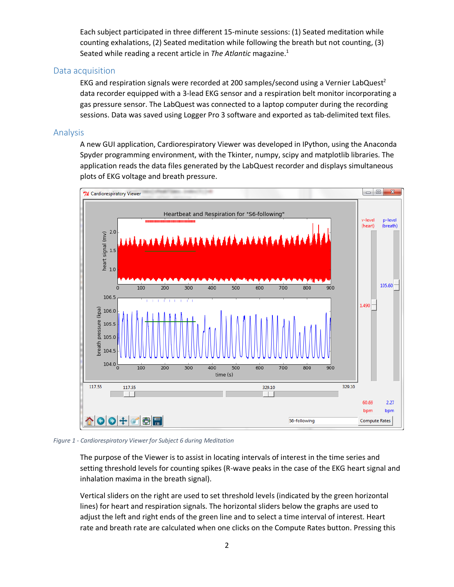Each subject participated in three different 15-minute sessions: (1) Seated meditation while counting exhalations, (2) Seated meditation while following the breath but not counting, (3) Seated while reading a recent article in *The Atlantic* magazine.<sup>1</sup>

#### Data acquisition

EKG and respiration signals were recorded at 200 samples/second using a Vernier LabQuest<sup>2</sup> data recorder equipped with a 3-lead EKG sensor and a respiration belt monitor incorporating a gas pressure sensor. The LabQuest was connected to a laptop computer during the recording sessions. Data was saved using Logger Pro 3 software and exported as tab-delimited text files.

#### Analysis

A new GUI application, Cardiorespiratory Viewer was developed in IPython, using the Anaconda Spyder programming environment, with the Tkinter, numpy, scipy and matplotlib libraries. The application reads the data files generated by the LabQuest recorder and displays simultaneous plots of EKG voltage and breath pressure.



*Figure 1 - Cardiorespiratory Viewer for Subject 6 during Meditation*

The purpose of the Viewer is to assist in locating intervals of interest in the time series and setting threshold levels for counting spikes (R-wave peaks in the case of the EKG heart signal and inhalation maxima in the breath signal).

Vertical sliders on the right are used to set threshold levels (indicated by the green horizontal lines) for heart and respiration signals. The horizontal sliders below the graphs are used to adjust the left and right ends of the green line and to select a time interval of interest. Heart rate and breath rate are calculated when one clicks on the Compute Rates button. Pressing this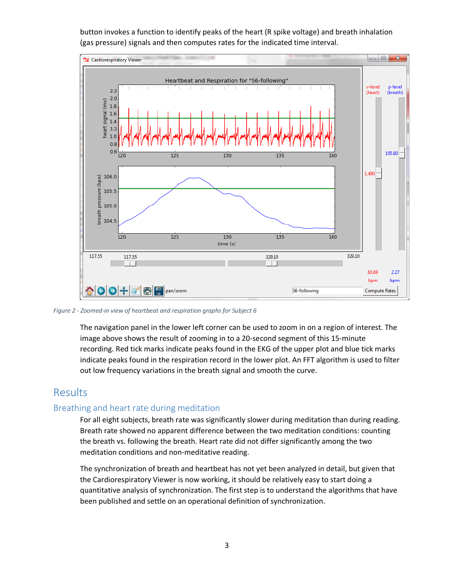

button invokes a function to identify peaks of the heart (R spike voltage) and breath inhalation (gas pressure) signals and then computes rates for the indicated time interval.

#### *Figure 2 - Zoomed-in view of heartbeat and respiration graphs for Subject 6*

The navigation panel in the lower left corner can be used to zoom in on a region of interest. The image above shows the result of zooming in to a 20-second segment of this 15-minute recording. Red tick marks indicate peaks found in the EKG of the upper plot and blue tick marks indicate peaks found in the respiration record in the lower plot. An FFT algorithm is used to filter out low frequency variations in the breath signal and smooth the curve.

#### Results

#### Breathing and heart rate during meditation

For all eight subjects, breath rate was significantly slower during meditation than during reading. Breath rate showed no apparent difference between the two meditation conditions: counting the breath vs. following the breath. Heart rate did not differ significantly among the two meditation conditions and non-meditative reading.

The synchronization of breath and heartbeat has not yet been analyzed in detail, but given that the Cardiorespiratory Viewer is now working, it should be relatively easy to start doing a quantitative analysis of synchronization. The first step is to understand the algorithms that have been published and settle on an operational definition of synchronization.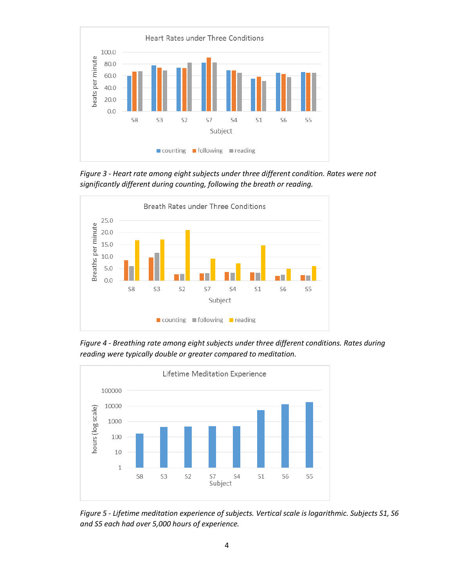

*Figure 3 - Heart rate among eight subjects under three different condition. Rates were not significantly different during counting, following the breath or reading.*



*Figure 4 - Breathing rate among eight subjects under three different conditions. Rates during reading were typically double or greater compared to meditation.*



*Figure 5 - Lifetime meditation experience of subjects. Vertical scale is logarithmic. Subjects S1, S6 and S5 each had over 5,000 hours of experience.*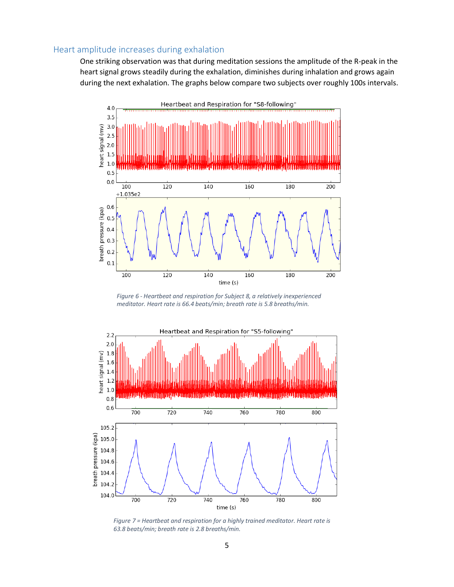#### Heart amplitude increases during exhalation

One striking observation was that during meditation sessions the amplitude of the R-peak in the heart signal grows steadily during the exhalation, diminishes during inhalation and grows again during the next exhalation. The graphs below compare two subjects over roughly 100s intervals.



*Figure 6 - Heartbeat and respiration for Subject 8, a relatively inexperienced meditator. Heart rate is 66.4 beats/min; breath rate is 5.8 breaths/min.*



*Figure 7 = Heartbeat and respiration for a highly trained meditator. Heart rate is 63.8 beats/min; breath rate is 2.8 breaths/min.*